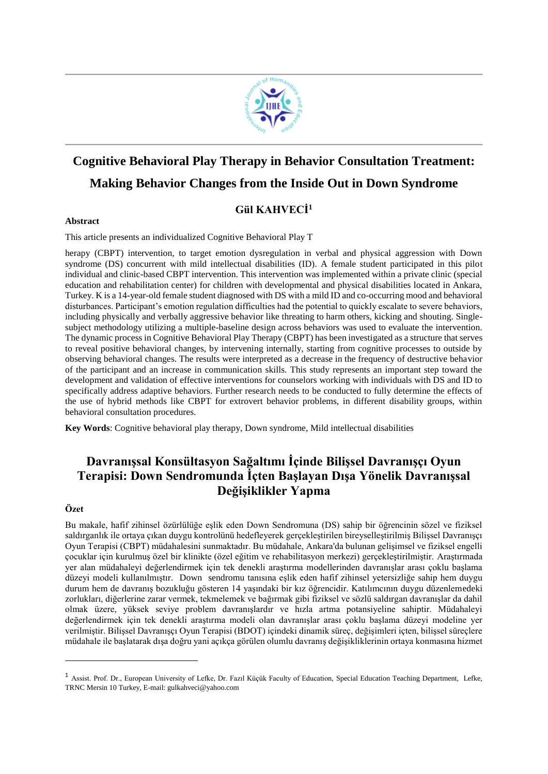

# **Cognitive Behavioral Play Therapy in Behavior Consultation Treatment: Making Behavior Changes from the Inside Out in Down Syndrome**

# **Gül KAHVECİ<sup>1</sup>**

## **Abstract**

This article presents an individualized Cognitive Behavioral Play T

herapy (CBPT) intervention, to target emotion dysregulation in verbal and physical aggression with Down syndrome (DS) concurrent with mild intellectual disabilities (ID). A female student participated in this pilot individual and clinic-based CBPT intervention. This intervention was implemented within a private clinic (special education and rehabilitation center) for children with developmental and physical disabilities located in Ankara, Turkey. K is a 14-year-old female student diagnosed with DS with a mild ID and co-occurring mood and behavioral disturbances. Participant's emotion regulation difficulties had the potential to quickly escalate to severe behaviors, including physically and verbally aggressive behavior like threating to harm others, kicking and shouting. Singlesubject methodology utilizing a multiple-baseline design across behaviors was used to evaluate the intervention. The dynamic process in Cognitive Behavioral Play Therapy (CBPT) has been investigated as a structure that serves to reveal positive behavioral changes, by intervening internally, starting from cognitive processes to outside by observing behavioral changes. The results were interpreted as a decrease in the frequency of destructive behavior of the participant and an increase in communication skills. This study represents an important step toward the development and validation of effective interventions for counselors working with individuals with DS and ID to specifically address adaptive behaviors. Further research needs to be conducted to fully determine the effects of the use of hybrid methods like CBPT for extrovert behavior problems, in different disability groups, within behavioral consultation procedures.

**Key Words**: Cognitive behavioral play therapy, Down syndrome, Mild intellectual disabilities

# **Davranışsal Konsültasyon Sağaltımı İçinde Bilişsel Davranışçı Oyun Terapisi: Down Sendromunda İçten Başlayan Dışa Yönelik Davranışsal Değişiklikler Yapma**

# **Özet**

 $\overline{a}$ 

Bu makale, hafif zihinsel özürlülüğe eşlik eden Down Sendromuna (DS) sahip bir öğrencinin sözel ve fiziksel saldırganlık ile ortaya çıkan duygu kontrolünü hedefleyerek gerçekleştirilen bireyselleştirilmiş Bilişsel Davranışçı Oyun Terapisi (CBPT) müdahalesini sunmaktadır. Bu müdahale, Ankara'da bulunan gelişimsel ve fiziksel engelli çocuklar için kurulmuş özel bir klinikte (özel eğitim ve rehabilitasyon merkezi) gerçekleştirilmiştir. Araştırmada yer alan müdahaleyi değerlendirmek için tek denekli araştırma modellerinden davranışlar arası çoklu başlama düzeyi modeli kullanılmıştır. Down sendromu tanısına eşlik eden hafif zihinsel yetersizliğe sahip hem duygu durum hem de davranış bozukluğu gösteren 14 yaşındaki bir kız öğrencidir. Katılımcının duygu düzenlemedeki zorlukları, diğerlerine zarar vermek, tekmelemek ve bağırmak gibi fiziksel ve sözlü saldırgan davranışlar da dahil olmak üzere, yüksek seviye problem davranışlardır ve hızla artma potansiyeline sahiptir. Müdahaleyi değerlendirmek için tek denekli araştırma modeli olan davranışlar arası çoklu başlama düzeyi modeline yer verilmiştir. Bilişsel Davranışçı Oyun Terapisi (BDOT) içindeki dinamik süreç, değişimleri içten, bilişsel süreçlere müdahale ile başlatarak dışa doğru yani açıkça görülen olumlu davranış değişikliklerinin ortaya konmasına hizmet

<sup>&</sup>lt;sup>1</sup> Assist. Prof. Dr., European University of Lefke, Dr. Fazıl Küçük Faculty of Education, Special Education Teaching Department, Lefke, TRNC Mersin 10 Turkey, E-mail: gulkahveci@yahoo.com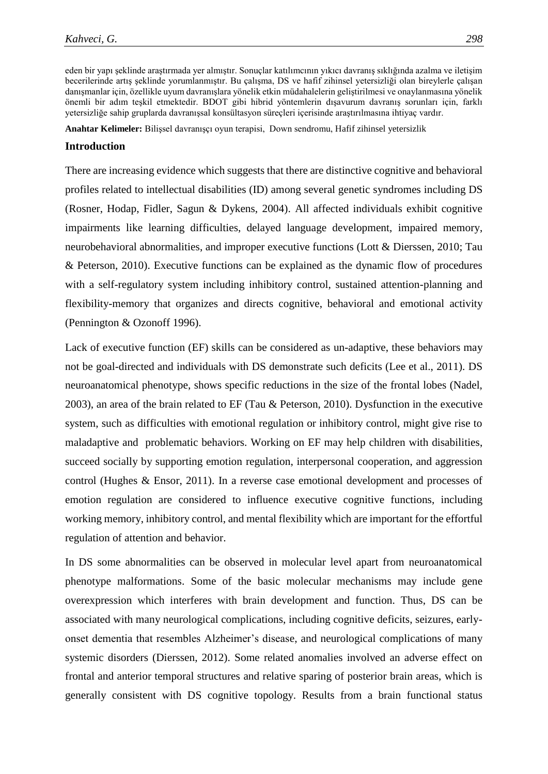eden bir yapı şeklinde araştırmada yer almıştır. Sonuçlar katılımcının yıkıcı davranış sıklığında azalma ve iletişim becerilerinde artış şeklinde yorumlanmıştır. Bu çalışma, DS ve hafif zihinsel yetersizliği olan bireylerle çalışan danışmanlar için, özellikle uyum davranışlara yönelik etkin müdahalelerin geliştirilmesi ve onaylanmasına yönelik önemli bir adım teşkil etmektedir. BDOT gibi hibrid yöntemlerin dışavurum davranış sorunları için, farklı yetersizliğe sahip gruplarda davranışsal konsültasyon süreçleri içerisinde araştırılmasına ihtiyaç vardır.

**Anahtar Kelimeler:** Bilişsel davranışçı oyun terapisi, Down sendromu, Hafif zihinsel yetersizlik

# **Introduction**

There are increasing evidence which suggests that there are distinctive cognitive and behavioral profiles related to intellectual disabilities (ID) among several genetic syndromes including DS (Rosner, Hodap, Fidler, Sagun & Dykens, 2004). All affected individuals exhibit cognitive impairments like learning difficulties, delayed language development, impaired memory, neurobehavioral abnormalities, and improper executive functions (Lott & Dierssen, 2010; Tau & Peterson, 2010). Executive functions can be explained as the dynamic flow of procedures with a self-regulatory system including inhibitory control, sustained attention-planning and flexibility-memory that organizes and directs cognitive, behavioral and emotional activity (Pennington & Ozonoff 1996).

Lack of executive function (EF) skills can be considered as un-adaptive, these behaviors may not be goal-directed and individuals with DS demonstrate such deficits (Lee et al., 2011). DS neuroanatomical phenotype, shows specific reductions in the size of the frontal lobes (Nadel, 2003), an area of the brain related to EF (Tau & Peterson, 2010). Dysfunction in the executive system, such as difficulties with emotional regulation or inhibitory control, might give rise to maladaptive and problematic behaviors. Working on EF may help children with disabilities, succeed socially by supporting emotion regulation, interpersonal cooperation, and aggression control (Hughes & Ensor, 2011). In a reverse case emotional development and processes of emotion regulation are considered to influence executive cognitive functions, including working memory, inhibitory control, and mental flexibility which are important for the effortful regulation of attention and behavior.

In DS some abnormalities can be observed in molecular level apart from neuroanatomical phenotype malformations. Some of the basic molecular mechanisms may include gene overexpression which interferes with brain development and function. Thus, DS can be associated with many neurological complications, including cognitive deficits, seizures, earlyonset dementia that resembles Alzheimer's disease, and neurological complications of many systemic disorders (Dierssen, 2012). Some related anomalies involved an adverse effect on frontal and anterior temporal structures and relative sparing of posterior brain areas, which is generally consistent with DS cognitive topology. Results from a brain functional status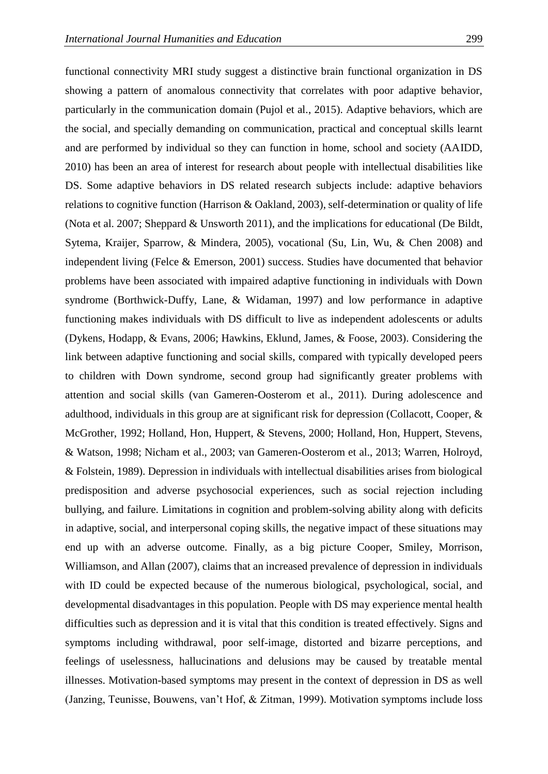functional connectivity MRI study suggest a distinctive brain functional organization in DS showing a pattern of anomalous connectivity that correlates with poor adaptive behavior, particularly in the communication domain (Pujol et al., 2015). Adaptive behaviors, which are the social, and specially demanding on communication, practical and conceptual skills learnt and are performed by individual so they can function in home, school and society (AAIDD, 2010) has been an area of interest for research about people with intellectual disabilities like DS. Some adaptive behaviors in DS related research subjects include: adaptive behaviors relations to cognitive function (Harrison & Oakland, 2003), self-determination or quality of life (Nota et al. 2007; Sheppard & Unsworth 2011), and the implications for educational (De Bildt, Sytema, Kraijer, Sparrow, & Mindera, 2005), vocational (Su, Lin, Wu, & Chen 2008) and independent living (Felce & Emerson, 2001) success. Studies have documented that behavior problems have been associated with impaired adaptive functioning in individuals with Down syndrome (Borthwick-Duffy, Lane, & Widaman, 1997) and low performance in adaptive functioning makes individuals with DS difficult to live as independent adolescents or adults (Dykens, Hodapp, & Evans, 2006; Hawkins, Eklund, James, & Foose, 2003). Considering the link between adaptive functioning and social skills, compared with typically developed peers to children with Down syndrome, second group had significantly greater problems with attention and social skills (van Gameren-Oosterom et al., 2011). During adolescence and adulthood, individuals in this group are at significant risk for depression (Collacott, Cooper, & McGrother, 1992; Holland, Hon, Huppert, & Stevens, 2000; Holland, Hon, Huppert, Stevens, & Watson, 1998; Nicham et al., 2003; van Gameren-Oosterom et al., 2013; Warren, Holroyd, & Folstein, 1989). Depression in individuals with intellectual disabilities arises from biological predisposition and adverse psychosocial experiences, such as social rejection including bullying, and failure. Limitations in cognition and problem-solving ability along with deficits in adaptive, social, and interpersonal coping skills, the negative impact of these situations may end up with an adverse outcome. Finally, as a big picture Cooper, Smiley, Morrison, Williamson, and Allan (2007), claims that an increased prevalence of depression in individuals with ID could be expected because of the numerous biological, psychological, social, and developmental disadvantages in this population. People with DS may experience mental health difficulties such as depression and it is vital that this condition is treated effectively. Signs and symptoms including withdrawal, poor self-image, distorted and bizarre perceptions, and feelings of uselessness, hallucinations and delusions may be caused by treatable mental illnesses. Motivation-based symptoms may present in the context of depression in DS as well (Janzing, Teunisse, Bouwens, van't Hof, & Zitman, 1999). Motivation symptoms include loss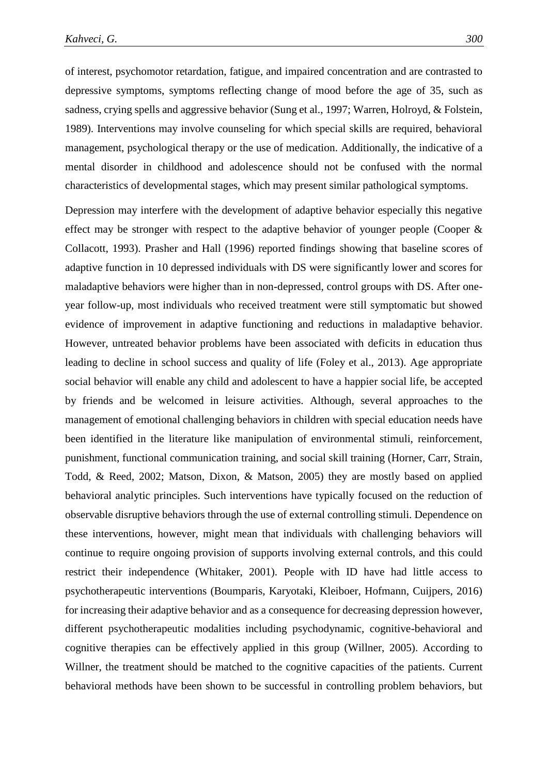of interest, psychomotor retardation, fatigue, and impaired concentration and are contrasted to depressive symptoms, symptoms reflecting change of mood before the age of 35, such as sadness, crying spells and aggressive behavior (Sung et al., 1997; Warren, Holroyd, & Folstein, 1989). Interventions may involve counseling for which special skills are required, behavioral management, psychological therapy or the use of medication. Additionally, the indicative of a mental disorder in childhood and adolescence should not be confused with the normal characteristics of developmental stages, which may present similar pathological symptoms.

Depression may interfere with the development of adaptive behavior especially this negative effect may be stronger with respect to the adaptive behavior of younger people (Cooper  $\&$ Collacott, 1993). Prasher and Hall (1996) reported findings showing that baseline scores of adaptive function in 10 depressed individuals with DS were significantly lower and scores for maladaptive behaviors were higher than in non-depressed, control groups with DS. After oneyear follow-up, most individuals who received treatment were still symptomatic but showed evidence of improvement in adaptive functioning and reductions in maladaptive behavior. However, untreated behavior problems have been associated with deficits in education thus leading to decline in school success and quality of life (Foley et al., 2013). Age appropriate social behavior will enable any child and adolescent to have a happier social life, be accepted by friends and be welcomed in leisure activities. Although, several approaches to the management of emotional challenging behaviors in children with special education needs have been identified in the literature like manipulation of environmental stimuli, reinforcement, punishment, functional communication training, and social skill training (Horner, Carr, Strain, Todd, & Reed, 2002; Matson, Dixon, & Matson, 2005) they are mostly based on applied behavioral analytic principles. Such interventions have typically focused on the reduction of observable disruptive behaviors through the use of external controlling stimuli. Dependence on these interventions, however, might mean that individuals with challenging behaviors will continue to require ongoing provision of supports involving external controls, and this could restrict their independence (Whitaker, 2001). People with ID have had little access to psychotherapeutic interventions (Boumparis, Karyotaki, Kleiboer, Hofmann, Cuijpers, 2016) for increasing their adaptive behavior and as a consequence for decreasing depression however, different psychotherapeutic modalities including psychodynamic, cognitive-behavioral and cognitive therapies can be effectively applied in this group (Willner, 2005). According to Willner, the treatment should be matched to the cognitive capacities of the patients. Current behavioral methods have been shown to be successful in controlling problem behaviors, but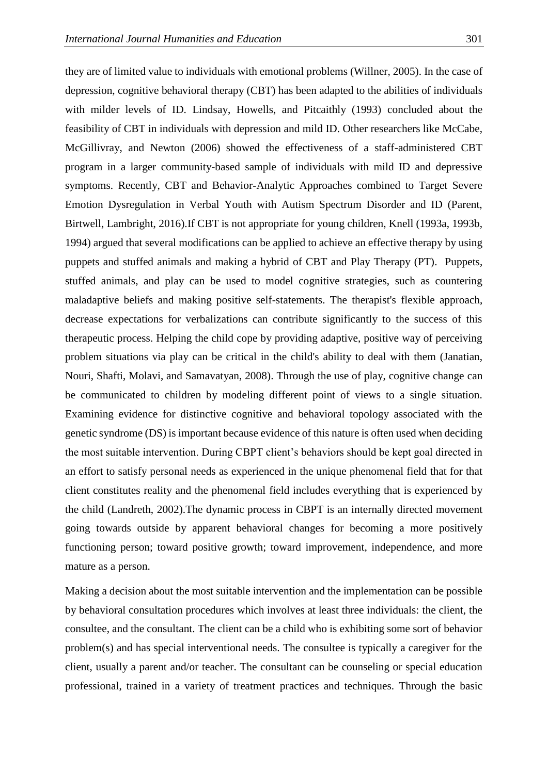they are of limited value to individuals with emotional problems (Willner, 2005). In the case of depression, cognitive behavioral therapy (CBT) has been adapted to the abilities of individuals with milder levels of ID. Lindsay, Howells, and Pitcaithly (1993) concluded about the feasibility of CBT in individuals with depression and mild ID. Other researchers like McCabe, McGillivray, and Newton (2006) showed the effectiveness of a staff-administered CBT program in a larger community-based sample of individuals with mild ID and depressive symptoms. Recently, CBT and Behavior-Analytic Approaches combined to Target Severe Emotion Dysregulation in Verbal Youth with Autism Spectrum Disorder and ID (Parent, Birtwell, Lambright, 2016).If CBT is not appropriate for young children, Knell (1993a, 1993b, 1994) argued that several modifications can be applied to achieve an effective therapy by using puppets and stuffed animals and making a hybrid of CBT and Play Therapy (PT). Puppets, stuffed animals, and play can be used to model cognitive strategies, such as countering maladaptive beliefs and making positive self-statements. The therapist's flexible approach, decrease expectations for verbalizations can contribute significantly to the success of this therapeutic process. Helping the child cope by providing adaptive, positive way of perceiving problem situations via play can be critical in the child's ability to deal with them (Janatian, Nouri, Shafti, Molavi, and Samavatyan, 2008). Through the use of play, cognitive change can be communicated to children by modeling different point of views to a single situation. Examining evidence for distinctive cognitive and behavioral topology associated with the genetic syndrome (DS) is important because evidence of this nature is often used when deciding the most suitable intervention. During CBPT client's behaviors should be kept goal directed in an effort to satisfy personal needs as experienced in the unique phenomenal field that for that client constitutes reality and the phenomenal field includes everything that is experienced by the child (Landreth, 2002).The dynamic process in CBPT is an internally directed movement going towards outside by apparent behavioral changes for becoming a more positively functioning person; toward positive growth; toward improvement, independence, and more mature as a person.

Making a decision about the most suitable intervention and the implementation can be possible by behavioral consultation procedures which involves at least three individuals: the client, the consultee, and the consultant. The client can be a child who is exhibiting some sort of behavior problem(s) and has special interventional needs. The consultee is typically a caregiver for the client, usually a parent and/or teacher. The consultant can be counseling or special education professional, trained in a variety of treatment practices and techniques. Through the basic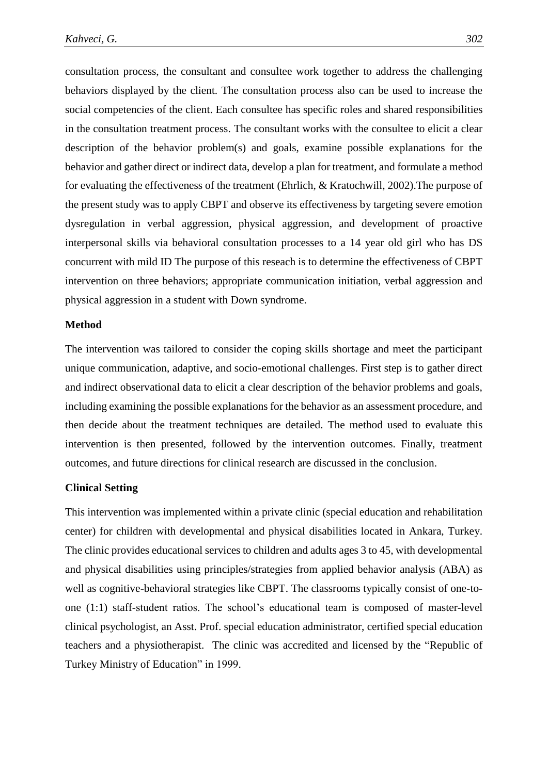consultation process, the consultant and consultee work together to address the challenging behaviors displayed by the client. The consultation process also can be used to increase the social competencies of the client. Each consultee has specific roles and shared responsibilities in the consultation treatment process. The consultant works with the consultee to elicit a clear description of the behavior problem(s) and goals, examine possible explanations for the behavior and gather direct or indirect data, develop a plan for treatment, and formulate a method for evaluating the effectiveness of the treatment (Ehrlich, & Kratochwill, 2002).The purpose of the present study was to apply CBPT and observe its effectiveness by targeting severe emotion dysregulation in verbal aggression, physical aggression, and development of proactive interpersonal skills via behavioral consultation processes to a 14 year old girl who has DS concurrent with mild ID The purpose of this reseach is to determine the effectiveness of CBPT intervention on three behaviors; appropriate communication initiation, verbal aggression and physical aggression in a student with Down syndrome.

## **Method**

The intervention was tailored to consider the coping skills shortage and meet the participant unique communication, adaptive, and socio-emotional challenges. First step is to gather direct and indirect observational data to elicit a clear description of the behavior problems and goals, including examining the possible explanations for the behavior as an assessment procedure, and then decide about the treatment techniques are detailed. The method used to evaluate this intervention is then presented, followed by the intervention outcomes. Finally, treatment outcomes, and future directions for clinical research are discussed in the conclusion.

# **Clinical Setting**

This intervention was implemented within a private clinic (special education and rehabilitation center) for children with developmental and physical disabilities located in Ankara, Turkey. The clinic provides educational services to children and adults ages 3 to 45, with developmental and physical disabilities using principles/strategies from applied behavior analysis (ABA) as well as cognitive-behavioral strategies like CBPT. The classrooms typically consist of one-toone (1:1) staff-student ratios. The school's educational team is composed of master-level clinical psychologist, an Asst. Prof. special education administrator, certified special education teachers and a physiotherapist. The clinic was accredited and licensed by the "Republic of Turkey Ministry of Education" in 1999.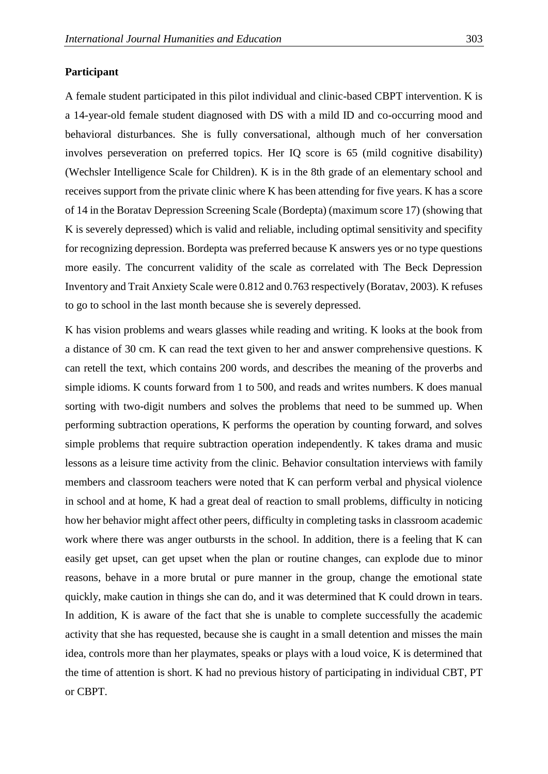# **Participant**

A female student participated in this pilot individual and clinic-based CBPT intervention. K is a 14-year-old female student diagnosed with DS with a mild ID and co-occurring mood and behavioral disturbances. She is fully conversational, although much of her conversation involves perseveration on preferred topics. Her IQ score is 65 (mild cognitive disability) (Wechsler Intelligence Scale for Children). K is in the 8th grade of an elementary school and receives support from the private clinic where K has been attending for five years. K has a score of 14 in the Boratav Depression Screening Scale (Bordepta) (maximum score 17) (showing that K is severely depressed) which is valid and reliable, including optimal sensitivity and specifity for recognizing depression. Bordepta was preferred because K answers yes or no type questions more easily. The concurrent validity of the scale as correlated with The Beck Depression Inventory and Trait Anxiety Scale were 0.812 and 0.763 respectively (Boratav, 2003). K refuses to go to school in the last month because she is severely depressed.

K has vision problems and wears glasses while reading and writing. K looks at the book from a distance of 30 cm. K can read the text given to her and answer comprehensive questions. K can retell the text, which contains 200 words, and describes the meaning of the proverbs and simple idioms. K counts forward from 1 to 500, and reads and writes numbers. K does manual sorting with two-digit numbers and solves the problems that need to be summed up. When performing subtraction operations, K performs the operation by counting forward, and solves simple problems that require subtraction operation independently. K takes drama and music lessons as a leisure time activity from the clinic. Behavior consultation interviews with family members and classroom teachers were noted that K can perform verbal and physical violence in school and at home, K had a great deal of reaction to small problems, difficulty in noticing how her behavior might affect other peers, difficulty in completing tasks in classroom academic work where there was anger outbursts in the school. In addition, there is a feeling that K can easily get upset, can get upset when the plan or routine changes, can explode due to minor reasons, behave in a more brutal or pure manner in the group, change the emotional state quickly, make caution in things she can do, and it was determined that K could drown in tears. In addition, K is aware of the fact that she is unable to complete successfully the academic activity that she has requested, because she is caught in a small detention and misses the main idea, controls more than her playmates, speaks or plays with a loud voice, K is determined that the time of attention is short. K had no previous history of participating in individual CBT, PT or CBPT.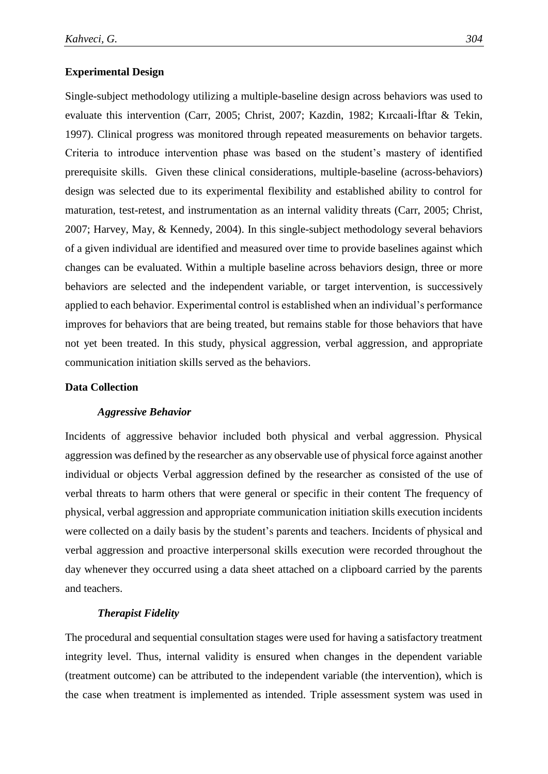# **Experimental Design**

Single-subject methodology utilizing a multiple-baseline design across behaviors was used to evaluate this intervention (Carr, 2005; Christ, 2007; Kazdin, 1982; Kırcaali-İftar & Tekin, 1997). Clinical progress was monitored through repeated measurements on behavior targets. Criteria to introduce intervention phase was based on the student's mastery of identified prerequisite skills. Given these clinical considerations, multiple-baseline (across-behaviors) design was selected due to its experimental flexibility and established ability to control for maturation, test-retest, and instrumentation as an internal validity threats (Carr, 2005; Christ, 2007; Harvey, May, & Kennedy, 2004). In this single-subject methodology several behaviors of a given individual are identified and measured over time to provide baselines against which changes can be evaluated. Within a multiple baseline across behaviors design, three or more behaviors are selected and the independent variable, or target intervention, is successively applied to each behavior. Experimental control is established when an individual's performance improves for behaviors that are being treated, but remains stable for those behaviors that have not yet been treated. In this study, physical aggression, verbal aggression, and appropriate communication initiation skills served as the behaviors.

# **Data Collection**

#### *Aggressive Behavior*

Incidents of aggressive behavior included both physical and verbal aggression. Physical aggression was defined by the researcher as any observable use of physical force against another individual or objects Verbal aggression defined by the researcher as consisted of the use of verbal threats to harm others that were general or specific in their content The frequency of physical, verbal aggression and appropriate communication initiation skills execution incidents were collected on a daily basis by the student's parents and teachers. Incidents of physical and verbal aggression and proactive interpersonal skills execution were recorded throughout the day whenever they occurred using a data sheet attached on a clipboard carried by the parents and teachers.

# *Therapist Fidelity*

The procedural and sequential consultation stages were used for having a satisfactory treatment integrity level. Thus, internal validity is ensured when changes in the dependent variable (treatment outcome) can be attributed to the independent variable (the intervention), which is the case when treatment is implemented as intended. Triple assessment system was used in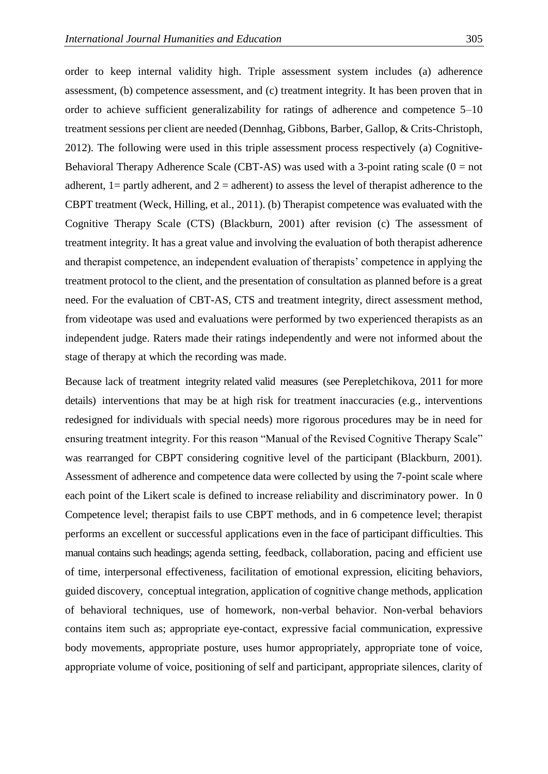order to keep internal validity high. Triple assessment system includes (a) adherence assessment, (b) competence assessment, and (c) treatment integrity. It has been proven that in order to achieve sufficient generalizability for ratings of adherence and competence 5–10 treatment sessions per client are needed (Dennhag, Gibbons, Barber, Gallop, & Crits-Christoph, 2012). The following were used in this triple assessment process respectively (a) Cognitive-Behavioral Therapy Adherence Scale (CBT-AS) was used with a 3-point rating scale ( $0 = not$ ) adherent,  $1 =$  partly adherent, and  $2 =$  adherent) to assess the level of therapist adherence to the CBPT treatment (Weck, Hilling, et al., 2011). (b) Therapist competence was evaluated with the Cognitive Therapy Scale (CTS) (Blackburn, 2001) after revision (c) The assessment of treatment integrity. It has a great value and involving the evaluation of both therapist adherence and therapist competence, an independent evaluation of therapists' competence in applying the treatment protocol to the client, and the presentation of consultation as planned before is a great need. For the evaluation of CBT-AS, CTS and treatment integrity, direct assessment method, from videotape was used and evaluations were performed by two experienced therapists as an independent judge. Raters made their ratings independently and were not informed about the stage of therapy at which the recording was made.

Because lack of treatment integrity related valid measures (see Perepletchikova, 2011 for more details) interventions that may be at high risk for treatment inaccuracies (e.g., interventions redesigned for individuals with special needs) more rigorous procedures may be in need for ensuring treatment integrity. For this reason "Manual of the Revised Cognitive Therapy Scale" was rearranged for CBPT considering cognitive level of the participant (Blackburn, 2001). Assessment of adherence and competence data were collected by using the 7-point scale where each point of the Likert scale is defined to increase reliability and discriminatory power. In 0 Competence level; therapist fails to use CBPT methods, and in 6 competence level; therapist performs an excellent or successful applications even in the face of participant difficulties. This manual contains such headings; agenda setting, feedback, collaboration, pacing and efficient use of time, interpersonal effectiveness, facilitation of emotional expression, eliciting behaviors, guided discovery, conceptual integration, application of cognitive change methods, application of behavioral techniques, use of homework, non-verbal behavior. Non-verbal behaviors contains item such as; appropriate eye-contact, expressive facial communication, expressive body movements, appropriate posture, uses humor appropriately, appropriate tone of voice, appropriate volume of voice, positioning of self and participant, appropriate silences, clarity of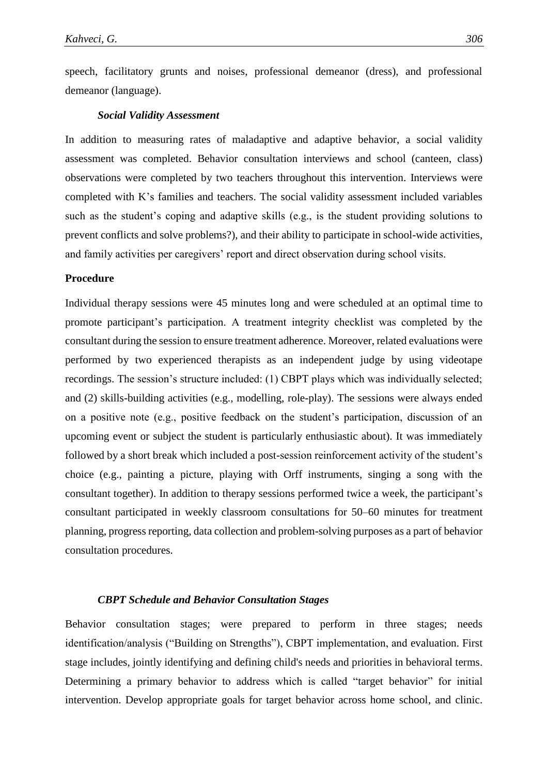speech, facilitatory grunts and noises, professional demeanor (dress), and professional demeanor (language).

# *Social Validity Assessment*

In addition to measuring rates of maladaptive and adaptive behavior, a social validity assessment was completed. Behavior consultation interviews and school (canteen, class) observations were completed by two teachers throughout this intervention. Interviews were completed with K's families and teachers. The social validity assessment included variables such as the student's coping and adaptive skills (e.g., is the student providing solutions to prevent conflicts and solve problems?), and their ability to participate in school-wide activities, and family activities per caregivers' report and direct observation during school visits.

# **Procedure**

Individual therapy sessions were 45 minutes long and were scheduled at an optimal time to promote participant's participation. A treatment integrity checklist was completed by the consultant during the session to ensure treatment adherence. Moreover, related evaluations were performed by two experienced therapists as an independent judge by using videotape recordings. The session's structure included: (1) CBPT plays which was individually selected; and (2) skills-building activities (e.g., modelling, role-play). The sessions were always ended on a positive note (e.g., positive feedback on the student's participation, discussion of an upcoming event or subject the student is particularly enthusiastic about). It was immediately followed by a short break which included a post-session reinforcement activity of the student's choice (e.g., painting a picture, playing with Orff instruments, singing a song with the consultant together). In addition to therapy sessions performed twice a week, the participant's consultant participated in weekly classroom consultations for 50–60 minutes for treatment planning, progress reporting, data collection and problem-solving purposes as a part of behavior consultation procedures.

## *CBPT Schedule and Behavior Consultation Stages*

Behavior consultation stages; were prepared to perform in three stages; needs identification/analysis ("Building on Strengths"), CBPT implementation, and evaluation. First stage includes, jointly identifying and defining child's needs and priorities in behavioral terms. Determining a primary behavior to address which is called "target behavior" for initial intervention. Develop appropriate goals for target behavior across home school, and clinic.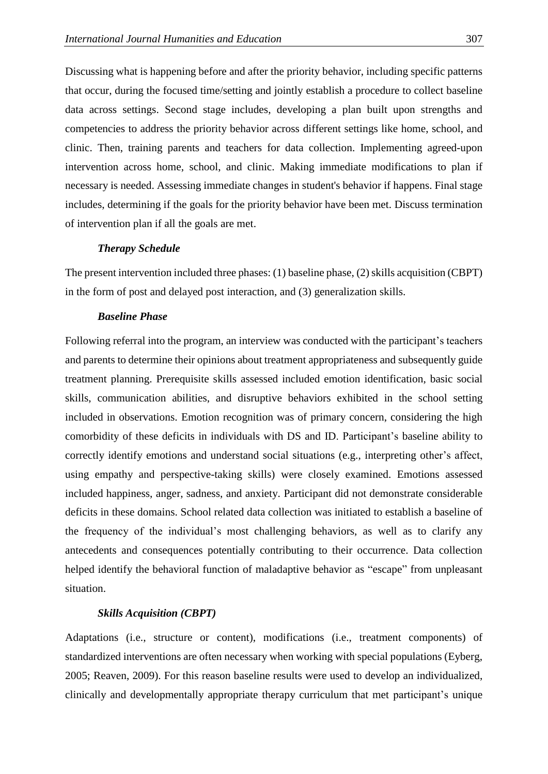Discussing what is happening before and after the priority behavior, including specific patterns that occur, during the focused time/setting and jointly establish a procedure to collect baseline data across settings. Second stage includes, developing a plan built upon strengths and competencies to address the priority behavior across different settings like home, school, and clinic. Then, training parents and teachers for data collection. Implementing agreed-upon intervention across home, school, and clinic. Making immediate modifications to plan if necessary is needed. Assessing immediate changes in student's behavior if happens. Final stage includes, determining if the goals for the priority behavior have been met. Discuss termination of intervention plan if all the goals are met.

# *Therapy Schedule*

The present intervention included three phases: (1) baseline phase, (2) skills acquisition (CBPT) in the form of post and delayed post interaction, and (3) generalization skills.

# *Baseline Phase*

Following referral into the program, an interview was conducted with the participant's teachers and parents to determine their opinions about treatment appropriateness and subsequently guide treatment planning. Prerequisite skills assessed included emotion identification, basic social skills, communication abilities, and disruptive behaviors exhibited in the school setting included in observations. Emotion recognition was of primary concern, considering the high comorbidity of these deficits in individuals with DS and ID. Participant's baseline ability to correctly identify emotions and understand social situations (e.g., interpreting other's affect, using empathy and perspective-taking skills) were closely examined. Emotions assessed included happiness, anger, sadness, and anxiety. Participant did not demonstrate considerable deficits in these domains. School related data collection was initiated to establish a baseline of the frequency of the individual's most challenging behaviors, as well as to clarify any antecedents and consequences potentially contributing to their occurrence. Data collection helped identify the behavioral function of maladaptive behavior as "escape" from unpleasant situation.

# *Skills Acquisition (CBPT)*

Adaptations (i.e., structure or content), modifications (i.e., treatment components) of standardized interventions are often necessary when working with special populations (Eyberg, 2005; Reaven, 2009). For this reason baseline results were used to develop an individualized, clinically and developmentally appropriate therapy curriculum that met participant's unique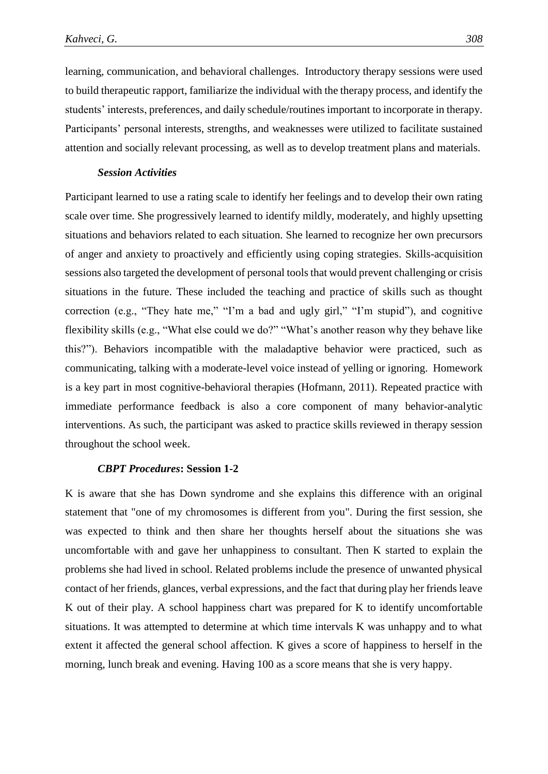learning, communication, and behavioral challenges. Introductory therapy sessions were used to build therapeutic rapport, familiarize the individual with the therapy process, and identify the students' interests, preferences, and daily schedule/routines important to incorporate in therapy. Participants' personal interests, strengths, and weaknesses were utilized to facilitate sustained attention and socially relevant processing, as well as to develop treatment plans and materials.

### *Session Activities*

Participant learned to use a rating scale to identify her feelings and to develop their own rating scale over time. She progressively learned to identify mildly, moderately, and highly upsetting situations and behaviors related to each situation. She learned to recognize her own precursors of anger and anxiety to proactively and efficiently using coping strategies. Skills-acquisition sessions also targeted the development of personal tools that would prevent challenging or crisis situations in the future. These included the teaching and practice of skills such as thought correction (e.g., "They hate me," "I'm a bad and ugly girl," "I'm stupid"), and cognitive flexibility skills (e.g., "What else could we do?" "What's another reason why they behave like this?"). Behaviors incompatible with the maladaptive behavior were practiced, such as communicating, talking with a moderate-level voice instead of yelling or ignoring. Homework is a key part in most cognitive-behavioral therapies (Hofmann, 2011). Repeated practice with immediate performance feedback is also a core component of many behavior-analytic interventions. As such, the participant was asked to practice skills reviewed in therapy session throughout the school week.

# *CBPT Procedures***: Session 1-2**

K is aware that she has Down syndrome and she explains this difference with an original statement that "one of my chromosomes is different from you". During the first session, she was expected to think and then share her thoughts herself about the situations she was uncomfortable with and gave her unhappiness to consultant. Then K started to explain the problems she had lived in school. Related problems include the presence of unwanted physical contact of her friends, glances, verbal expressions, and the fact that during play her friends leave K out of their play. A school happiness chart was prepared for K to identify uncomfortable situations. It was attempted to determine at which time intervals K was unhappy and to what extent it affected the general school affection. K gives a score of happiness to herself in the morning, lunch break and evening. Having 100 as a score means that she is very happy.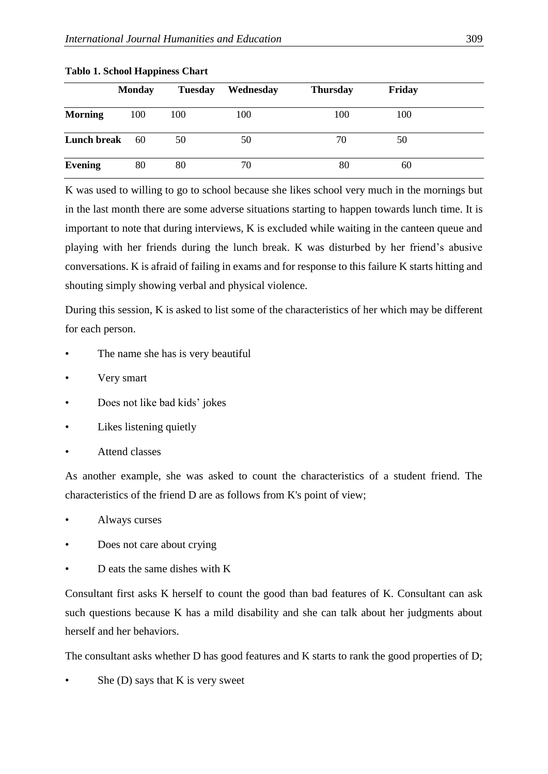|                    | <b>Monday</b> | <b>Tuesday</b> | Wednesday | <b>Thursday</b> | Friday |  |
|--------------------|---------------|----------------|-----------|-----------------|--------|--|
| <b>Morning</b>     | 100           | 100            | 100       | 100             | 100    |  |
| <b>Lunch break</b> | 60            | 50             | 50        | 70              | 50     |  |
| <b>Evening</b>     | 80            | 80             | 70        | 80              | 60     |  |

**Tablo 1. School Happiness Chart** 

K was used to willing to go to school because she likes school very much in the mornings but in the last month there are some adverse situations starting to happen towards lunch time. It is important to note that during interviews, K is excluded while waiting in the canteen queue and playing with her friends during the lunch break. K was disturbed by her friend's abusive conversations. K is afraid of failing in exams and for response to this failure K starts hitting and shouting simply showing verbal and physical violence.

During this session, K is asked to list some of the characteristics of her which may be different for each person.

- The name she has is very beautiful
- Very smart
- Does not like bad kids' jokes
- Likes listening quietly
- Attend classes

As another example, she was asked to count the characteristics of a student friend. The characteristics of the friend D are as follows from K's point of view;

- Always curses
- Does not care about crying
- D eats the same dishes with K

Consultant first asks K herself to count the good than bad features of K. Consultant can ask such questions because K has a mild disability and she can talk about her judgments about herself and her behaviors.

The consultant asks whether D has good features and K starts to rank the good properties of D;

She  $(D)$  says that K is very sweet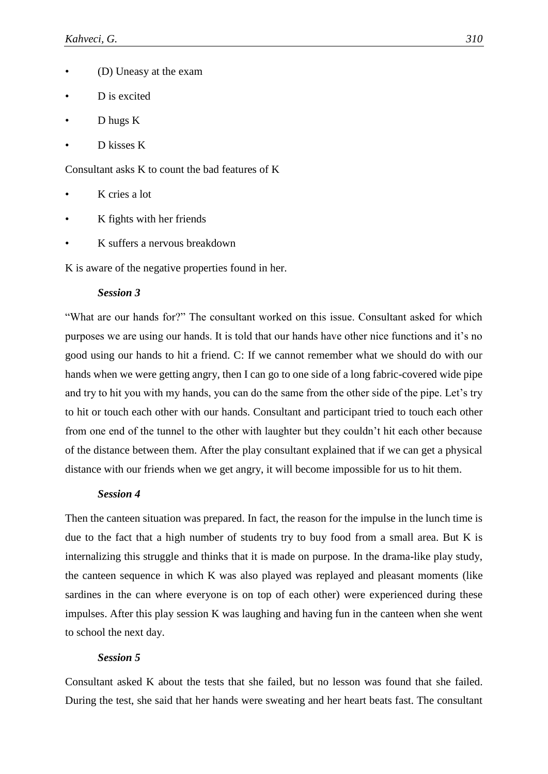- (D) Uneasy at the exam
- D is excited
- D hugs K
- D kisses K

Consultant asks K to count the bad features of K

- K cries a lot
- K fights with her friends
- K suffers a nervous breakdown

K is aware of the negative properties found in her.

## *Session 3*

"What are our hands for?" The consultant worked on this issue. Consultant asked for which purposes we are using our hands. It is told that our hands have other nice functions and it's no good using our hands to hit a friend. C: If we cannot remember what we should do with our hands when we were getting angry, then I can go to one side of a long fabric-covered wide pipe and try to hit you with my hands, you can do the same from the other side of the pipe. Let's try to hit or touch each other with our hands. Consultant and participant tried to touch each other from one end of the tunnel to the other with laughter but they couldn't hit each other because of the distance between them. After the play consultant explained that if we can get a physical distance with our friends when we get angry, it will become impossible for us to hit them.

# *Session 4*

Then the canteen situation was prepared. In fact, the reason for the impulse in the lunch time is due to the fact that a high number of students try to buy food from a small area. But K is internalizing this struggle and thinks that it is made on purpose. In the drama-like play study, the canteen sequence in which K was also played was replayed and pleasant moments (like sardines in the can where everyone is on top of each other) were experienced during these impulses. After this play session K was laughing and having fun in the canteen when she went to school the next day.

### *Session 5*

Consultant asked K about the tests that she failed, but no lesson was found that she failed. During the test, she said that her hands were sweating and her heart beats fast. The consultant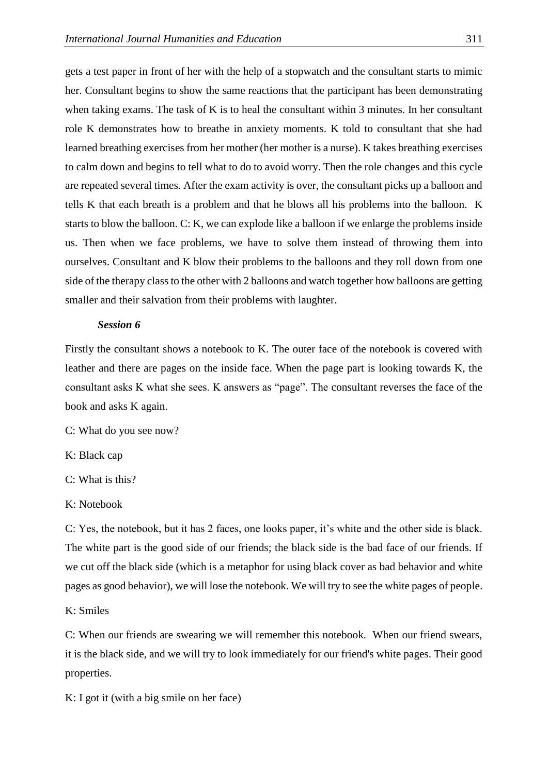gets a test paper in front of her with the help of a stopwatch and the consultant starts to mimic her. Consultant begins to show the same reactions that the participant has been demonstrating when taking exams. The task of K is to heal the consultant within 3 minutes. In her consultant role K demonstrates how to breathe in anxiety moments. K told to consultant that she had learned breathing exercises from her mother (her mother is a nurse). K takes breathing exercises to calm down and begins to tell what to do to avoid worry. Then the role changes and this cycle are repeated several times. After the exam activity is over, the consultant picks up a balloon and tells K that each breath is a problem and that he blows all his problems into the balloon. K starts to blow the balloon. C: K, we can explode like a balloon if we enlarge the problems inside us. Then when we face problems, we have to solve them instead of throwing them into ourselves. Consultant and K blow their problems to the balloons and they roll down from one side of the therapy class to the other with 2 balloons and watch together how balloons are getting smaller and their salvation from their problems with laughter.

#### *Session 6*

Firstly the consultant shows a notebook to K. The outer face of the notebook is covered with leather and there are pages on the inside face. When the page part is looking towards K, the consultant asks K what she sees. K answers as "page". The consultant reverses the face of the book and asks K again.

C: What do you see now?

K: Black cap

C: What is this?

K: Notebook

C: Yes, the notebook, but it has 2 faces, one looks paper, it's white and the other side is black. The white part is the good side of our friends; the black side is the bad face of our friends. If we cut off the black side (which is a metaphor for using black cover as bad behavior and white pages as good behavior), we will lose the notebook. We will try to see the white pages of people.

K: Smiles

C: When our friends are swearing we will remember this notebook. When our friend swears, it is the black side, and we will try to look immediately for our friend's white pages. Their good properties.

K: I got it (with a big smile on her face)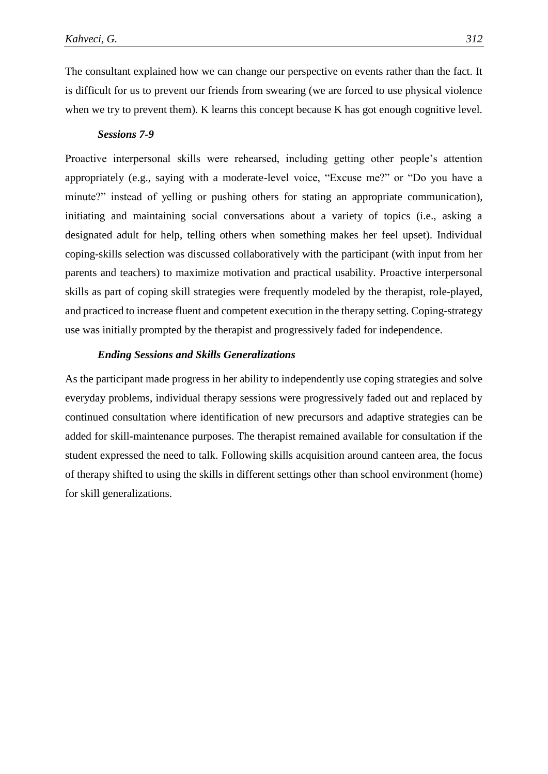The consultant explained how we can change our perspective on events rather than the fact. It is difficult for us to prevent our friends from swearing (we are forced to use physical violence when we try to prevent them). K learns this concept because K has got enough cognitive level.

# *Sessions 7-9*

Proactive interpersonal skills were rehearsed, including getting other people's attention appropriately (e.g., saying with a moderate-level voice, "Excuse me?" or "Do you have a minute?" instead of yelling or pushing others for stating an appropriate communication), initiating and maintaining social conversations about a variety of topics (i.e., asking a designated adult for help, telling others when something makes her feel upset). Individual coping-skills selection was discussed collaboratively with the participant (with input from her parents and teachers) to maximize motivation and practical usability. Proactive interpersonal skills as part of coping skill strategies were frequently modeled by the therapist, role-played, and practiced to increase fluent and competent execution in the therapy setting. Coping-strategy use was initially prompted by the therapist and progressively faded for independence.

# *Ending Sessions and Skills Generalizations*

As the participant made progress in her ability to independently use coping strategies and solve everyday problems, individual therapy sessions were progressively faded out and replaced by continued consultation where identification of new precursors and adaptive strategies can be added for skill-maintenance purposes. The therapist remained available for consultation if the student expressed the need to talk. Following skills acquisition around canteen area, the focus of therapy shifted to using the skills in different settings other than school environment (home) for skill generalizations.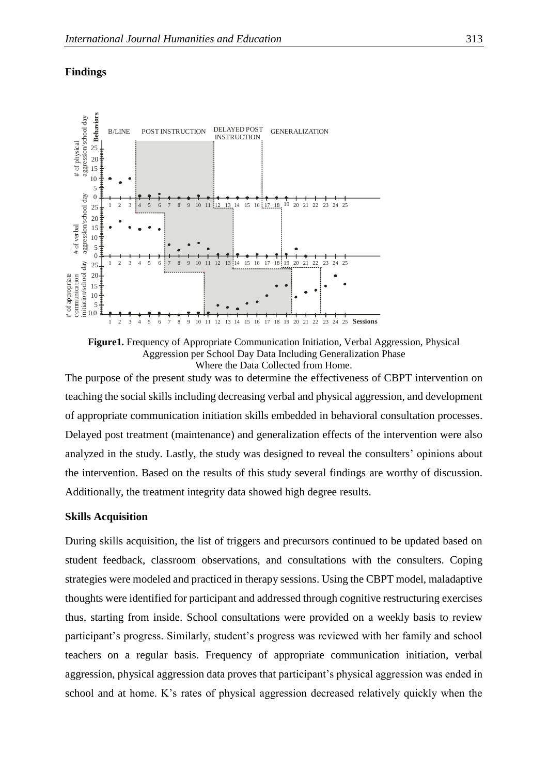

# **Findings**



The purpose of the present study was to determine the effectiveness of CBPT intervention on teaching the social skills including decreasing verbal and physical aggression, and development of appropriate communication initiation skills embedded in behavioral consultation processes. Delayed post treatment (maintenance) and generalization effects of the intervention were also analyzed in the study. Lastly, the study was designed to reveal the consulters' opinions about the intervention. Based on the results of this study several findings are worthy of discussion. Additionally, the treatment integrity data showed high degree results.

# **Skills Acquisition**

During skills acquisition, the list of triggers and precursors continued to be updated based on student feedback, classroom observations, and consultations with the consulters. Coping strategies were modeled and practiced in therapy sessions. Using the CBPT model, maladaptive thoughts were identified for participant and addressed through cognitive restructuring exercises thus, starting from inside. School consultations were provided on a weekly basis to review participant's progress. Similarly, student's progress was reviewed with her family and school teachers on a regular basis. Frequency of appropriate communication initiation, verbal aggression, physical aggression data proves that participant's physical aggression was ended in school and at home. K's rates of physical aggression decreased relatively quickly when the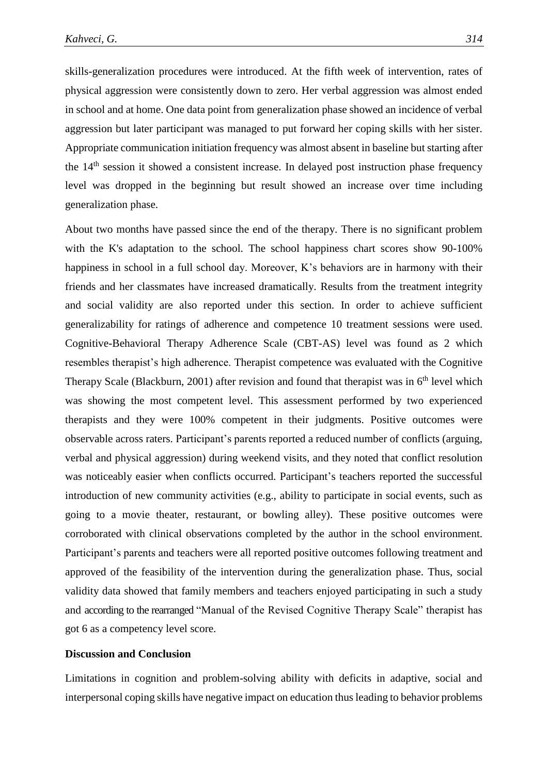skills-generalization procedures were introduced. At the fifth week of intervention, rates of physical aggression were consistently down to zero. Her verbal aggression was almost ended in school and at home. One data point from generalization phase showed an incidence of verbal aggression but later participant was managed to put forward her coping skills with her sister. Appropriate communication initiation frequency was almost absent in baseline but starting after the 14<sup>th</sup> session it showed a consistent increase. In delayed post instruction phase frequency level was dropped in the beginning but result showed an increase over time including generalization phase.

About two months have passed since the end of the therapy. There is no significant problem with the K's adaptation to the school. The school happiness chart scores show 90-100% happiness in school in a full school day. Moreover, K's behaviors are in harmony with their friends and her classmates have increased dramatically. Results from the treatment integrity and social validity are also reported under this section. In order to achieve sufficient generalizability for ratings of adherence and competence 10 treatment sessions were used. Cognitive-Behavioral Therapy Adherence Scale (CBT-AS) level was found as 2 which resembles therapist's high adherence. Therapist competence was evaluated with the Cognitive Therapy Scale (Blackburn, 2001) after revision and found that therapist was in  $6<sup>th</sup>$  level which was showing the most competent level. This assessment performed by two experienced therapists and they were 100% competent in their judgments. Positive outcomes were observable across raters. Participant's parents reported a reduced number of conflicts (arguing, verbal and physical aggression) during weekend visits, and they noted that conflict resolution was noticeably easier when conflicts occurred. Participant's teachers reported the successful introduction of new community activities (e.g., ability to participate in social events, such as going to a movie theater, restaurant, or bowling alley). These positive outcomes were corroborated with clinical observations completed by the author in the school environment. Participant's parents and teachers were all reported positive outcomes following treatment and approved of the feasibility of the intervention during the generalization phase. Thus, social validity data showed that family members and teachers enjoyed participating in such a study and according to the rearranged "Manual of the Revised Cognitive Therapy Scale" therapist has got 6 as a competency level score.

### **Discussion and Conclusion**

Limitations in cognition and problem-solving ability with deficits in adaptive, social and interpersonal coping skills have negative impact on education thus leading to behavior problems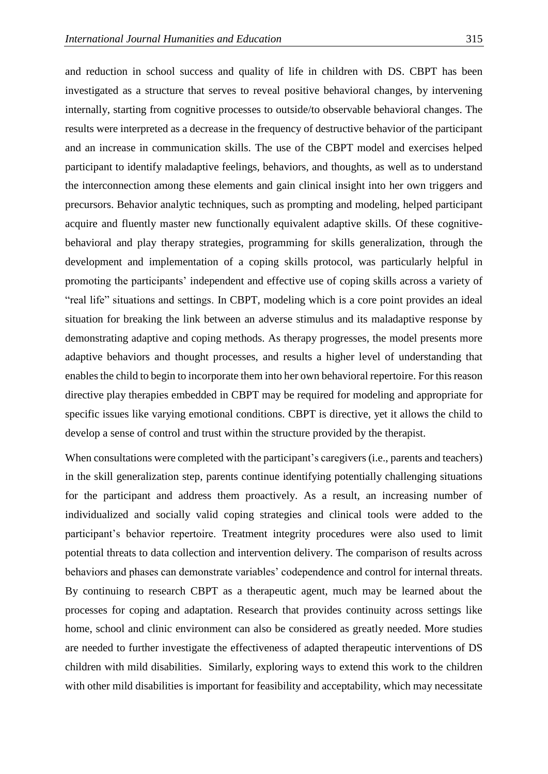and reduction in school success and quality of life in children with DS. CBPT has been investigated as a structure that serves to reveal positive behavioral changes, by intervening internally, starting from cognitive processes to outside/to observable behavioral changes. The results were interpreted as a decrease in the frequency of destructive behavior of the participant and an increase in communication skills. The use of the CBPT model and exercises helped participant to identify maladaptive feelings, behaviors, and thoughts, as well as to understand the interconnection among these elements and gain clinical insight into her own triggers and precursors. Behavior analytic techniques, such as prompting and modeling, helped participant acquire and fluently master new functionally equivalent adaptive skills. Of these cognitivebehavioral and play therapy strategies, programming for skills generalization, through the development and implementation of a coping skills protocol, was particularly helpful in promoting the participants' independent and effective use of coping skills across a variety of "real life" situations and settings. In CBPT, modeling which is a core point provides an ideal situation for breaking the link between an adverse stimulus and its maladaptive response by demonstrating adaptive and coping methods. As therapy progresses, the model presents more adaptive behaviors and thought processes, and results a higher level of understanding that enables the child to begin to incorporate them into her own behavioral repertoire. For this reason directive play therapies embedded in CBPT may be required for modeling and appropriate for specific issues like varying emotional conditions. CBPT is directive, yet it allows the child to develop a sense of control and trust within the structure provided by the therapist.

When consultations were completed with the participant's caregivers (i.e., parents and teachers) in the skill generalization step, parents continue identifying potentially challenging situations for the participant and address them proactively. As a result, an increasing number of individualized and socially valid coping strategies and clinical tools were added to the participant's behavior repertoire. Treatment integrity procedures were also used to limit potential threats to data collection and intervention delivery. The comparison of results across behaviors and phases can demonstrate variables' codependence and control for internal threats. By continuing to research CBPT as a therapeutic agent, much may be learned about the processes for coping and adaptation. Research that provides continuity across settings like home, school and clinic environment can also be considered as greatly needed. More studies are needed to further investigate the effectiveness of adapted therapeutic interventions of DS children with mild disabilities. Similarly, exploring ways to extend this work to the children with other mild disabilities is important for feasibility and acceptability, which may necessitate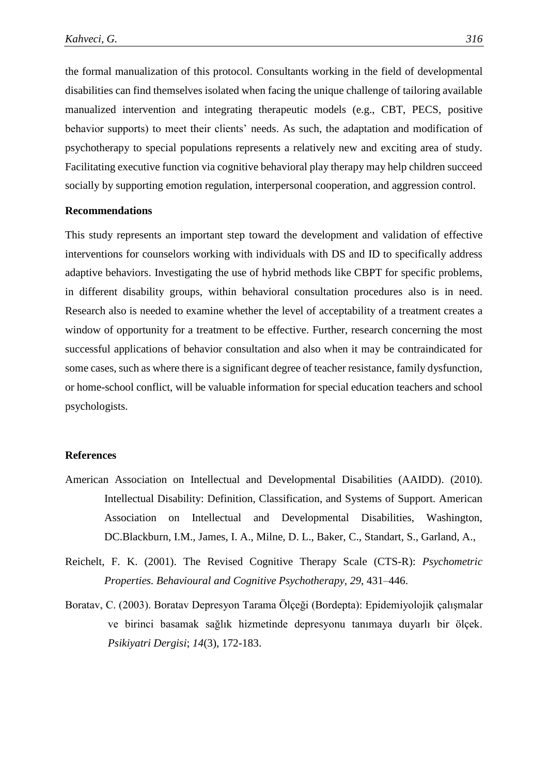the formal manualization of this protocol. Consultants working in the field of developmental disabilities can find themselves isolated when facing the unique challenge of tailoring available manualized intervention and integrating therapeutic models (e.g., CBT, PECS, positive behavior supports) to meet their clients' needs. As such, the adaptation and modification of psychotherapy to special populations represents a relatively new and exciting area of study. Facilitating executive function via cognitive behavioral play therapy may help children succeed socially by supporting emotion regulation, interpersonal cooperation, and aggression control.

# **Recommendations**

This study represents an important step toward the development and validation of effective interventions for counselors working with individuals with DS and ID to specifically address adaptive behaviors. Investigating the use of hybrid methods like CBPT for specific problems, in different disability groups, within behavioral consultation procedures also is in need. Research also is needed to examine whether the level of acceptability of a treatment creates a window of opportunity for a treatment to be effective. Further, research concerning the most successful applications of behavior consultation and also when it may be contraindicated for some cases, such as where there is a significant degree of teacher resistance, family dysfunction, or home-school conflict, will be valuable information for special education teachers and school psychologists.

# **References**

- American Association on Intellectual and Developmental Disabilities (AAIDD). (2010). Intellectual Disability: Definition, Classification, and Systems of Support. American Association on Intellectual and Developmental Disabilities, Washington, DC.Blackburn, I.M., James, I. A., Milne, D. L., Baker, C., Standart, S., Garland, A.,
- Reichelt, F. K. (2001). The Revised Cognitive Therapy Scale (CTS-R): *Psychometric Properties. Behavioural and Cognitive Psychotherapy, 29*, 431–446.
- Boratav, C. (2003). Boratav Depresyon Tarama Ölçeği (Bordepta): Epidemiyolojik çalışmalar ve birinci basamak sağlık hizmetinde depresyonu tanımaya duyarlı bir ölçek. *Psikiyatri Dergisi*; *14*(3), 172-183.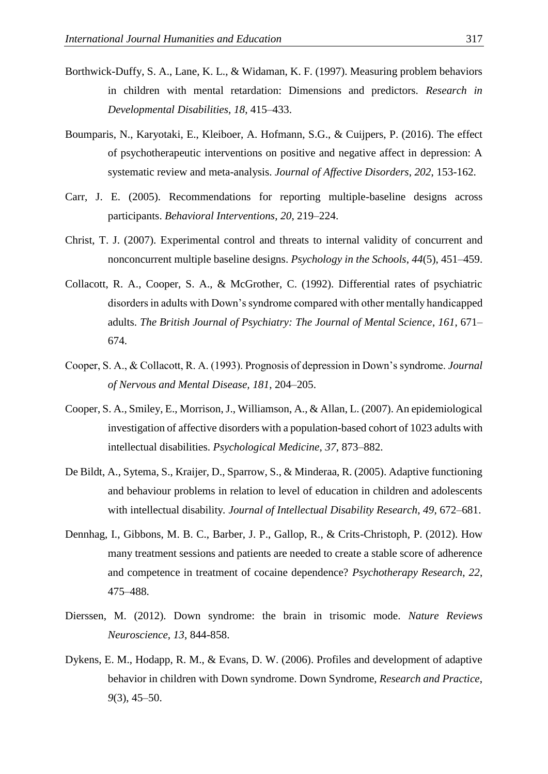- Borthwick-Duffy, S. A., Lane, K. L., & Widaman, K. F. (1997). Measuring problem behaviors in children with mental retardation: Dimensions and predictors. *Research in Developmental Disabilities*, *18*, 415–433.
- Boumparis, N., Karyotaki, E., Kleiboer, A. Hofmann, S.G., & Cuijpers, P. (2016). The effect of psychotherapeutic interventions on positive and negative affect in depression: A systematic review and meta-analysis. *Journal of Affective Disorders*, *202*, 153-162.
- Carr, J. E. (2005). Recommendations for reporting multiple-baseline designs across participants. *Behavioral Interventions*, *20*, 219–224.
- Christ, T. J. (2007). Experimental control and threats to internal validity of concurrent and nonconcurrent multiple baseline designs. *Psychology in the Schools*, *44*(5), 451–459.
- Collacott, R. A., Cooper, S. A., & McGrother, C. (1992). Differential rates of psychiatric disorders in adults with Down's syndrome compared with other mentally handicapped adults. *The British Journal of Psychiatry: The Journal of Mental Science*, *161*, 671– 674.
- Cooper, S. A., & Collacott, R. A. (1993). Prognosis of depression in Down's syndrome. *Journal of Nervous and Mental Disease, 181*, 204–205.
- Cooper, S. A., Smiley, E., Morrison, J., Williamson, A., & Allan, L. (2007). An epidemiological investigation of affective disorders with a population-based cohort of 1023 adults with intellectual disabilities. *Psychological Medicine*, *37*, 873–882.
- De Bildt, A., Sytema, S., Kraijer, D., Sparrow, S., & Minderaa, R. (2005). Adaptive functioning and behaviour problems in relation to level of education in children and adolescents with intellectual disability*. Journal of Intellectual Disability Research*, *49*, 672–681.
- Dennhag, I., Gibbons, M. B. C., Barber, J. P., Gallop, R., & Crits-Christoph, P. (2012). How many treatment sessions and patients are needed to create a stable score of adherence and competence in treatment of cocaine dependence? *Psychotherapy Research*, *22*, 475–488.
- Dierssen, M. (2012). Down syndrome: the brain in trisomic mode. *Nature Reviews Neuroscience, 13*, 844-858.
- Dykens, E. M., Hodapp, R. M., & Evans, D. W. (2006). Profiles and development of adaptive behavior in children with Down syndrome. Down Syndrome, *Research and Practice*, *9*(3), 45–50.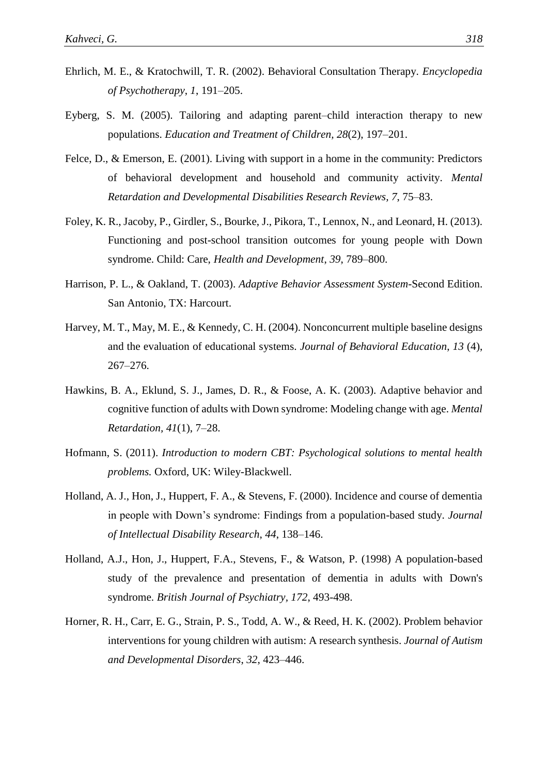- Ehrlich, M. E., & Kratochwill, T. R. (2002). Behavioral Consultation Therapy. *Encyclopedia of Psychotherapy*, *1*, 191–205.
- Eyberg, S. M. (2005). Tailoring and adapting parent–child interaction therapy to new populations. *Education and Treatment of Children, 28*(2), 197–201.
- Felce, D., & Emerson, E. (2001). Living with support in a home in the community: Predictors of behavioral development and household and community activity. *Mental Retardation and Developmental Disabilities Research Reviews, 7*, 75–83.
- Foley, K. R., Jacoby, P., Girdler, S., Bourke, J., Pikora, T., Lennox, N., and Leonard, H. (2013). Functioning and post-school transition outcomes for young people with Down syndrome. Child: Care, *Health and Development*, *39*, 789–800.
- Harrison, P. L., & Oakland, T. (2003). *Adaptive Behavior Assessment System*-Second Edition. San Antonio, TX: Harcourt.
- Harvey, M. T., May, M. E., & Kennedy, C. H. (2004). Nonconcurrent multiple baseline designs and the evaluation of educational systems. *Journal of Behavioral Education*, *13* (4), 267–276.
- Hawkins, B. A., Eklund, S. J., James, D. R., & Foose, A. K. (2003). Adaptive behavior and cognitive function of adults with Down syndrome: Modeling change with age. *Mental Retardation, 41*(1), 7–28.
- Hofmann, S. (2011). *Introduction to modern CBT: Psychological solutions to mental health problems.* Oxford, UK: Wiley-Blackwell.
- Holland, A. J., Hon, J., Huppert, F. A., & Stevens, F. (2000). Incidence and course of dementia in people with Down's syndrome: Findings from a population-based study*. Journal of Intellectual Disability Research*, *44*, 138–146.
- Holland, A.J., Hon, J., Huppert, F.A., Stevens, F., & Watson, P. (1998) A population-based study of the prevalence and presentation of dementia in adults with Down's syndrome. *British Journal of Psychiatry, 172*, 493-498.
- Horner, R. H., Carr, E. G., Strain, P. S., Todd, A. W., & Reed, H. K. (2002). Problem behavior interventions for young children with autism: A research synthesis. *Journal of Autism and Developmental Disorders*, *32*, 423–446.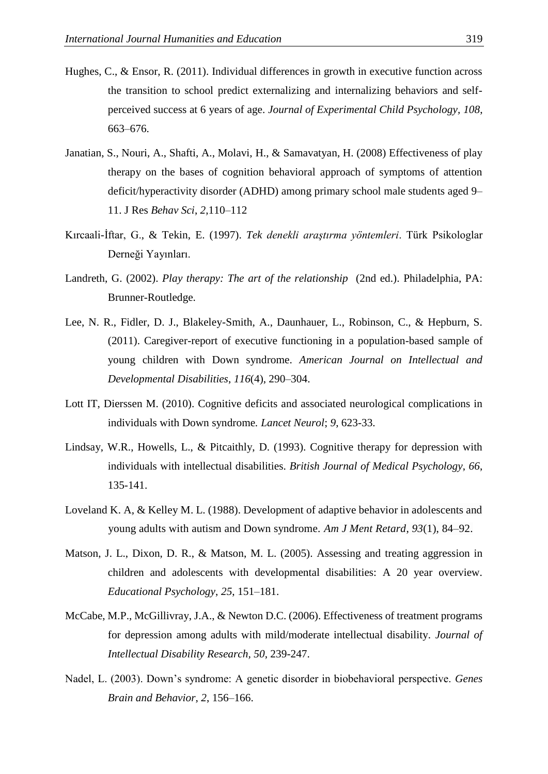- Hughes, C., & Ensor, R. (2011). Individual differences in growth in executive function across the transition to school predict externalizing and internalizing behaviors and selfperceived success at 6 years of age. *Journal of Experimental Child Psychology, 108*, 663–676.
- Janatian, S., Nouri, A., Shafti, A., Molavi, H., & Samavatyan, H. (2008) Effectiveness of play therapy on the bases of cognition behavioral approach of symptoms of attention deficit/hyperactivity disorder (ADHD) among primary school male students aged 9– 11. J Res *Behav Sci*, *2*,110–112
- Kırcaali-İftar, G., & Tekin, E. (1997). *Tek denekli araştırma yöntemleri*. Türk Psikologlar Derneği Yayınları.
- Landreth, G. (2002). *Play therapy: The art of the relationship* (2nd ed.). Philadelphia, PA: Brunner-Routledge.
- Lee, N. R., Fidler, D. J., Blakeley-Smith, A., Daunhauer, L., Robinson, C., & Hepburn, S. (2011). Caregiver-report of executive functioning in a population-based sample of young children with Down syndrome. *American Journal on Intellectual and Developmental Disabilities*, *116*(4), 290–304.
- Lott IT, Dierssen M. (2010). Cognitive deficits and associated neurological complications in individuals with Down syndrome*. Lancet Neurol*; *9*, 623-33.
- Lindsay, W.R., Howells, L., & Pitcaithly, D. (1993). Cognitive therapy for depression with individuals with intellectual disabilities. *British Journal of Medical Psychology*, *66*, 135-141.
- Loveland K. A, & Kelley M. L. (1988). Development of adaptive behavior in adolescents and young adults with autism and Down syndrome. *Am J Ment Retard*, *93*(1), 84–92.
- Matson, J. L., Dixon, D. R., & Matson, M. L. (2005). Assessing and treating aggression in children and adolescents with developmental disabilities: A 20 year overview. *Educational Psychology*, *25*, 151–181.
- McCabe, M.P., McGillivray, J.A., & Newton D.C. (2006). Effectiveness of treatment programs for depression among adults with mild/moderate intellectual disability. *Journal of Intellectual Disability Research, 50*, 239-247.
- Nadel, L. (2003). Down's syndrome: A genetic disorder in biobehavioral perspective. *Genes Brain and Behavior*, *2*, 156–166.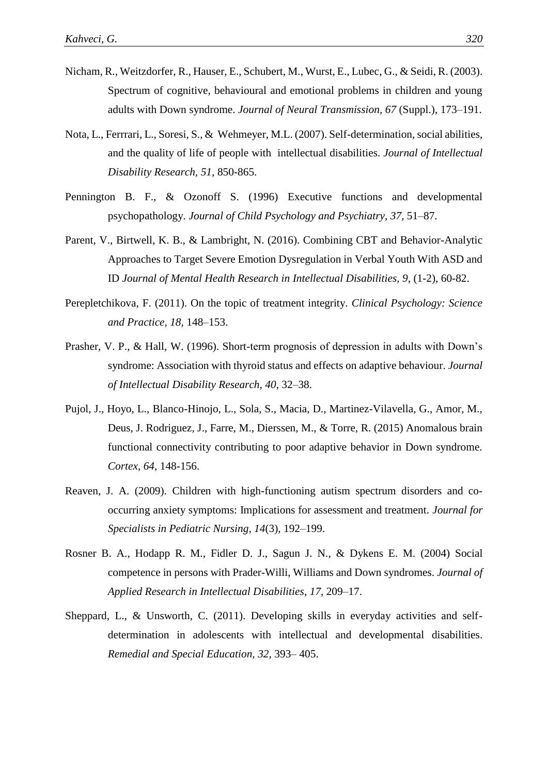- Nicham, R., Weitzdorfer, R., Hauser, E., Schubert, M., Wurst, E., Lubec, G., & Seidi, R. (2003). Spectrum of cognitive, behavioural and emotional problems in children and young adults with Down syndrome. *Journal of Neural Transmission, 67* (Suppl.), 173–191.
- Nota, L., Ferrrari, L., Soresi, S., & Wehmeyer, M.L. (2007). Self-determination, social abilities, and the quality of life of people with intellectual disabilities. *Journal of Intellectual Disability Research, 51*, 850-865.
- Pennington B. F., & Ozonoff S. (1996) Executive functions and developmental psychopathology. *Journal of Child Psychology and Psychiatry*, *37*, 51–87.
- Parent, V., Birtwell, K. B., & Lambright, N. (2016). Combining CBT and Behavior-Analytic Approaches to Target Severe Emotion Dysregulation in Verbal Youth With ASD and ID *Journal of Mental Health Research in Intellectual Disabilities, 9*, (1-2), 60-82.
- Perepletchikova, F. (2011). On the topic of treatment integrity. *Clinical Psychology: Science and Practice, 18*, 148–153.
- Prasher, V. P., & Hall, W. (1996). Short-term prognosis of depression in adults with Down's syndrome: Association with thyroid status and effects on adaptive behaviour. *Journal of Intellectual Disability Research, 40*, 32–38.
- Pujol, J., Hoyo, L., Blanco-Hinojo, L., Sola, S., Macia, D., Martinez-Vilavella, G., Amor, M., Deus, J. Rodriguez, J., Farre, M., Dierssen, M., & Torre, R. (2015) Anomalous brain functional connectivity contributing to poor adaptive behavior in Down syndrome*. Cortex*, *64*, 148-156.
- Reaven, J. A. (2009). Children with high-functioning autism spectrum disorders and cooccurring anxiety symptoms: Implications for assessment and treatment. *Journal for Specialists in Pediatric Nursing, 14*(3), 192–199.
- Rosner B. A., Hodapp R. M., Fidler D. J., Sagun J. N., & Dykens E. M. (2004) Social competence in persons with Prader-Willi, Williams and Down syndromes. *Journal of Applied Research in Intellectual Disabilities*, *17*, 209–17.
- Sheppard, L., & Unsworth, C. (2011). Developing skills in everyday activities and selfdetermination in adolescents with intellectual and developmental disabilities. *Remedial and Special Education, 32*, 393– 405.